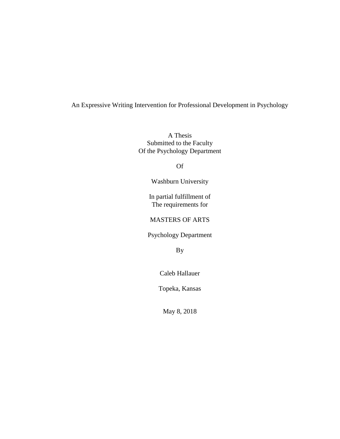# An Expressive Writing Intervention for Professional Development in Psychology

A Thesis Submitted to the Faculty Of the Psychology Department

Of

Washburn University

In partial fulfillment of The requirements for

MASTERS OF ARTS

Psychology Department

By

Caleb Hallauer

Topeka, Kansas

May 8, 2018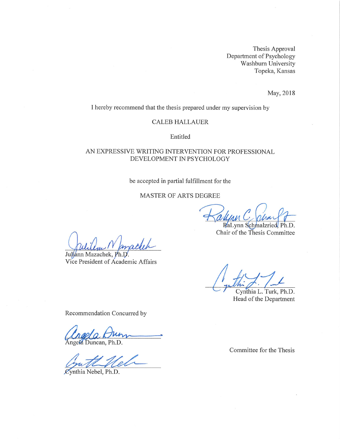Thesis Approval Department of Psychology Washburn University Topeka, Kansas

May, 2018

I hereby recommend that the thesis prepared under my supervision by

#### **CALEB HALLAUER**

Entitled

## AN EXPRESSIVE WRITING INTERVENTION FOR PROFESSIONAL DEVELOPMENT IN PSYCHOLOGY

### be accepted in partial fulfillment for the

### MASTER OF ARTS DEGREE

RaLynn Schmalzried, Ph.D. Chair of the Thesis Committee

Juliann Mazachek, Ph.D.

Vice President of Academic Affairs

Cynthia L. Turk, Ph.D. Head of the Department

Recommendation Concurred by

**Angela** Duncan, Ph.D.

Cynthia Nebel, Ph.D.

Committee for the Thesis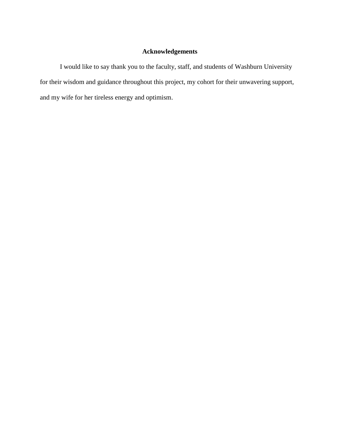# **Acknowledgements**

I would like to say thank you to the faculty, staff, and students of Washburn University for their wisdom and guidance throughout this project, my cohort for their unwavering support, and my wife for her tireless energy and optimism.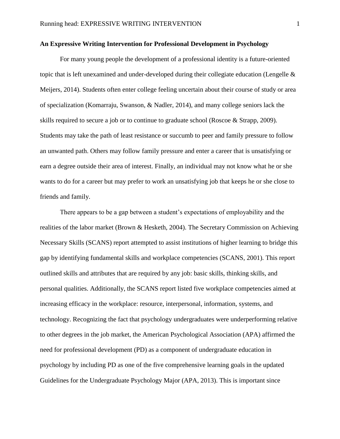### **An Expressive Writing Intervention for Professional Development in Psychology**

For many young people the development of a professional identity is a future-oriented topic that is left unexamined and under-developed during their collegiate education (Lengelle & Meijers, 2014). Students often enter college feeling uncertain about their course of study or area of specialization (Komarraju, Swanson, & Nadler, 2014), and many college seniors lack the skills required to secure a job or to continue to graduate school (Roscoe & Strapp, 2009). Students may take the path of least resistance or succumb to peer and family pressure to follow an unwanted path. Others may follow family pressure and enter a career that is unsatisfying or earn a degree outside their area of interest. Finally, an individual may not know what he or she wants to do for a career but may prefer to work an unsatisfying job that keeps he or she close to friends and family.

There appears to be a gap between a student's expectations of employability and the realities of the labor market (Brown & Hesketh, 2004). The Secretary Commission on Achieving Necessary Skills (SCANS) report attempted to assist institutions of higher learning to bridge this gap by identifying fundamental skills and workplace competencies (SCANS, 2001). This report outlined skills and attributes that are required by any job: basic skills, thinking skills, and personal qualities. Additionally, the SCANS report listed five workplace competencies aimed at increasing efficacy in the workplace: resource, interpersonal, information, systems, and technology. Recognizing the fact that psychology undergraduates were underperforming relative to other degrees in the job market, the American Psychological Association (APA) affirmed the need for professional development (PD) as a component of undergraduate education in psychology by including PD as one of the five comprehensive learning goals in the updated Guidelines for the Undergraduate Psychology Major (APA, 2013). This is important since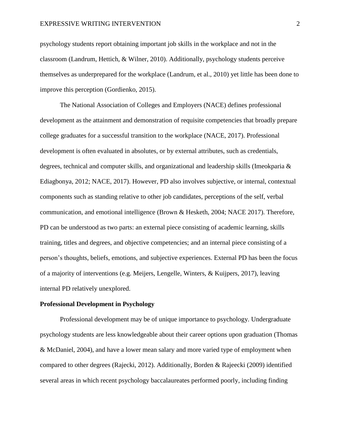#### EXPRESSIVE WRITING INTERVENTION 2

psychology students report obtaining important job skills in the workplace and not in the classroom (Landrum, Hettich, & Wilner, 2010). Additionally, psychology students perceive themselves as underprepared for the workplace (Landrum, et al., 2010) yet little has been done to improve this perception (Gordienko, 2015).

The National Association of Colleges and Employers (NACE) defines professional development as the attainment and demonstration of requisite competencies that broadly prepare college graduates for a successful transition to the workplace (NACE, 2017). Professional development is often evaluated in absolutes, or by external attributes, such as credentials, degrees, technical and computer skills, and organizational and leadership skills (Imeokparia & Ediagbonya, 2012; NACE, 2017). However, PD also involves subjective, or internal, contextual components such as standing relative to other job candidates, perceptions of the self, verbal communication, and emotional intelligence (Brown & Hesketh, 2004; NACE 2017). Therefore, PD can be understood as two parts: an external piece consisting of academic learning, skills training, titles and degrees, and objective competencies; and an internal piece consisting of a person's thoughts, beliefs, emotions, and subjective experiences. External PD has been the focus of a majority of interventions (e.g. Meijers, Lengelle, Winters, & Kuijpers, 2017), leaving internal PD relatively unexplored.

#### **Professional Development in Psychology**

Professional development may be of unique importance to psychology. Undergraduate psychology students are less knowledgeable about their career options upon graduation (Thomas & McDaniel, 2004), and have a lower mean salary and more varied type of employment when compared to other degrees (Rajecki, 2012). Additionally, Borden & Rajeecki (2009) identified several areas in which recent psychology baccalaureates performed poorly, including finding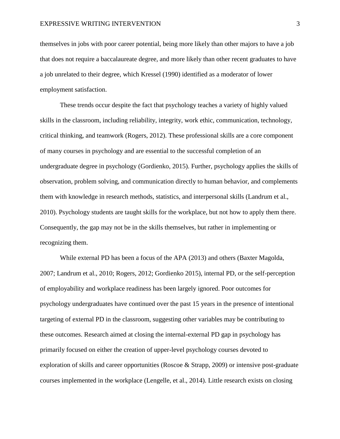themselves in jobs with poor career potential, being more likely than other majors to have a job that does not require a baccalaureate degree, and more likely than other recent graduates to have a job unrelated to their degree, which Kressel (1990) identified as a moderator of lower employment satisfaction.

These trends occur despite the fact that psychology teaches a variety of highly valued skills in the classroom, including reliability, integrity, work ethic, communication, technology, critical thinking, and teamwork (Rogers, 2012). These professional skills are a core component of many courses in psychology and are essential to the successful completion of an undergraduate degree in psychology (Gordienko, 2015). Further, psychology applies the skills of observation, problem solving, and communication directly to human behavior, and complements them with knowledge in research methods, statistics, and interpersonal skills (Landrum et al., 2010). Psychology students are taught skills for the workplace, but not how to apply them there. Consequently, the gap may not be in the skills themselves, but rather in implementing or recognizing them.

While external PD has been a focus of the APA (2013) and others (Baxter Magolda, 2007; Landrum et al., 2010; Rogers, 2012; Gordienko 2015), internal PD, or the self-perception of employability and workplace readiness has been largely ignored. Poor outcomes for psychology undergraduates have continued over the past 15 years in the presence of intentional targeting of external PD in the classroom, suggesting other variables may be contributing to these outcomes. Research aimed at closing the internal-external PD gap in psychology has primarily focused on either the creation of upper-level psychology courses devoted to exploration of skills and career opportunities (Roscoe & Strapp, 2009) or intensive post-graduate courses implemented in the workplace (Lengelle, et al., 2014). Little research exists on closing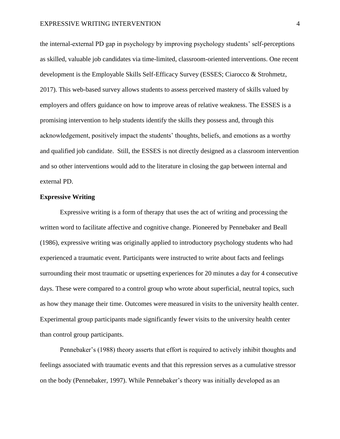the internal-external PD gap in psychology by improving psychology students' self-perceptions as skilled, valuable job candidates via time-limited, classroom-oriented interventions. One recent development is the Employable Skills Self-Efficacy Survey (ESSES; Ciarocco & Strohmetz, 2017). This web-based survey allows students to assess perceived mastery of skills valued by employers and offers guidance on how to improve areas of relative weakness. The ESSES is a promising intervention to help students identify the skills they possess and, through this acknowledgement, positively impact the students' thoughts, beliefs, and emotions as a worthy and qualified job candidate. Still, the ESSES is not directly designed as a classroom intervention and so other interventions would add to the literature in closing the gap between internal and external PD.

#### **Expressive Writing**

Expressive writing is a form of therapy that uses the act of writing and processing the written word to facilitate affective and cognitive change. Pioneered by Pennebaker and Beall (1986), expressive writing was originally applied to introductory psychology students who had experienced a traumatic event. Participants were instructed to write about facts and feelings surrounding their most traumatic or upsetting experiences for 20 minutes a day for 4 consecutive days. These were compared to a control group who wrote about superficial, neutral topics, such as how they manage their time. Outcomes were measured in visits to the university health center. Experimental group participants made significantly fewer visits to the university health center than control group participants.

Pennebaker's (1988) theory asserts that effort is required to actively inhibit thoughts and feelings associated with traumatic events and that this repression serves as a cumulative stressor on the body (Pennebaker, 1997). While Pennebaker's theory was initially developed as an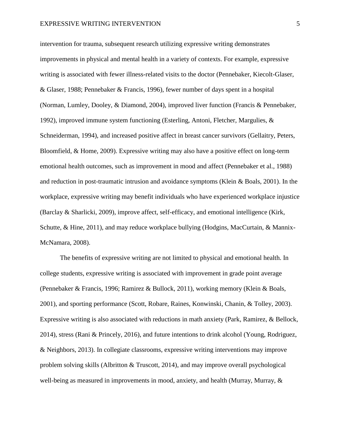intervention for trauma, subsequent research utilizing expressive writing demonstrates improvements in physical and mental health in a variety of contexts. For example, expressive writing is associated with fewer illness-related visits to the doctor (Pennebaker, Kiecolt-Glaser, & Glaser, 1988; Pennebaker & Francis, 1996), fewer number of days spent in a hospital (Norman, Lumley, Dooley, & Diamond, 2004), improved liver function (Francis & Pennebaker, 1992), improved immune system functioning (Esterling, Antoni, Fletcher, Margulies, & Schneiderman, 1994), and increased positive affect in breast cancer survivors (Gellaitry, Peters, Bloomfield, & Home, 2009). Expressive writing may also have a positive effect on long-term emotional health outcomes, such as improvement in mood and affect (Pennebaker et al.*,* 1988) and reduction in post-traumatic intrusion and avoidance symptoms (Klein & Boals, 2001). In the workplace, expressive writing may benefit individuals who have experienced workplace injustice (Barclay & Sharlicki, 2009), improve affect, self-efficacy, and emotional intelligence (Kirk, Schutte, & Hine, 2011), and may reduce workplace bullying (Hodgins, MacCurtain, & Mannix-McNamara, 2008).

The benefits of expressive writing are not limited to physical and emotional health. In college students, expressive writing is associated with improvement in grade point average (Pennebaker & Francis, 1996; Ramirez & Bullock, 2011), working memory (Klein & Boals, 2001), and sporting performance (Scott, Robare, Raines, Konwinski, Chanin, & Tolley, 2003). Expressive writing is also associated with reductions in math anxiety (Park, Ramirez, & Bellock, 2014), stress (Rani & Princely, 2016), and future intentions to drink alcohol (Young, Rodriguez, & Neighbors, 2013). In collegiate classrooms, expressive writing interventions may improve problem solving skills (Albritton & Truscott, 2014), and may improve overall psychological well-being as measured in improvements in mood, anxiety, and health (Murray, Murray, &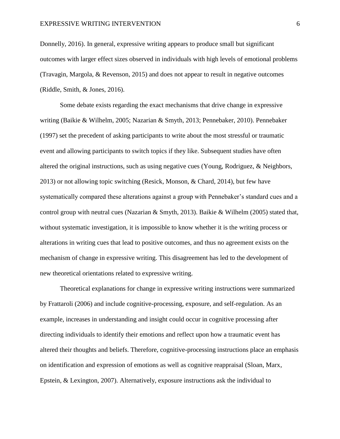Donnelly, 2016). In general, expressive writing appears to produce small but significant outcomes with larger effect sizes observed in individuals with high levels of emotional problems (Travagin, Margola, & Revenson, 2015) and does not appear to result in negative outcomes (Riddle, Smith, & Jones, 2016).

Some debate exists regarding the exact mechanisms that drive change in expressive writing (Baikie & Wilhelm, 2005; Nazarian & Smyth, 2013; Pennebaker, 2010). Pennebaker (1997) set the precedent of asking participants to write about the most stressful or traumatic event and allowing participants to switch topics if they like. Subsequent studies have often altered the original instructions, such as using negative cues (Young, Rodriguez, & Neighbors, 2013) or not allowing topic switching (Resick, Monson, & Chard, 2014), but few have systematically compared these alterations against a group with Pennebaker's standard cues and a control group with neutral cues (Nazarian & Smyth, 2013). Baikie & Wilhelm (2005) stated that, without systematic investigation, it is impossible to know whether it is the writing process or alterations in writing cues that lead to positive outcomes, and thus no agreement exists on the mechanism of change in expressive writing. This disagreement has led to the development of new theoretical orientations related to expressive writing.

Theoretical explanations for change in expressive writing instructions were summarized by Frattaroli (2006) and include cognitive-processing, exposure, and self-regulation. As an example, increases in understanding and insight could occur in cognitive processing after directing individuals to identify their emotions and reflect upon how a traumatic event has altered their thoughts and beliefs. Therefore, cognitive-processing instructions place an emphasis on identification and expression of emotions as well as cognitive reappraisal (Sloan, Marx, Epstein, & Lexington, 2007). Alternatively, exposure instructions ask the individual to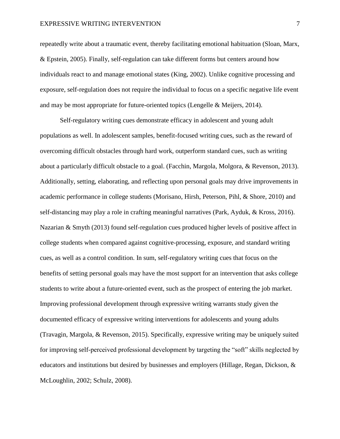#### EXPRESSIVE WRITING INTERVENTION 7

repeatedly write about a traumatic event, thereby facilitating emotional habituation (Sloan, Marx, & Epstein, 2005). Finally, self-regulation can take different forms but centers around how individuals react to and manage emotional states (King, 2002). Unlike cognitive processing and exposure, self-regulation does not require the individual to focus on a specific negative life event and may be most appropriate for future-oriented topics (Lengelle & Meijers, 2014).

Self-regulatory writing cues demonstrate efficacy in adolescent and young adult populations as well. In adolescent samples, benefit-focused writing cues, such as the reward of overcoming difficult obstacles through hard work, outperform standard cues, such as writing about a particularly difficult obstacle to a goal. (Facchin, Margola, Molgora, & Revenson, 2013). Additionally, setting, elaborating, and reflecting upon personal goals may drive improvements in academic performance in college students (Morisano, Hirsh, Peterson, Pihl, & Shore, 2010) and self-distancing may play a role in crafting meaningful narratives (Park, Ayduk, & Kross, 2016). Nazarian & Smyth (2013) found self-regulation cues produced higher levels of positive affect in college students when compared against cognitive-processing, exposure, and standard writing cues, as well as a control condition. In sum, self-regulatory writing cues that focus on the benefits of setting personal goals may have the most support for an intervention that asks college students to write about a future-oriented event, such as the prospect of entering the job market. Improving professional development through expressive writing warrants study given the documented efficacy of expressive writing interventions for adolescents and young adults (Travagin, Margola, & Revenson, 2015). Specifically, expressive writing may be uniquely suited for improving self-perceived professional development by targeting the "soft" skills neglected by educators and institutions but desired by businesses and employers (Hillage, Regan, Dickson, & McLoughlin, 2002; Schulz, 2008).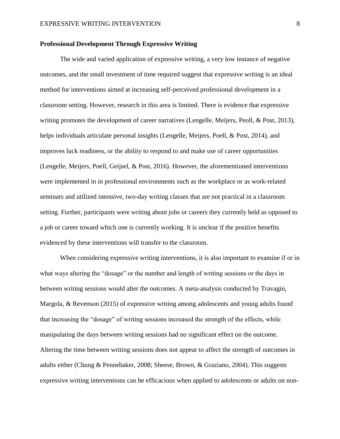# **Professional Development Through Expressive Writing**

The wide and varied application of expressive writing, a very low instance of negative outcomes, and the small investment of time required suggest that expressive writing is an ideal method for interventions aimed at increasing self-perceived professional development in a classroom setting. However, research in this area is limited. There is evidence that expressive writing promotes the development of career narratives (Lengelle, Meijers, Peoll, & Post, 2013), helps individuals articulate personal insights (Lengelle, Meijers, Poell, & Post, 2014), and improves luck readiness, or the ability to respond to and make use of career opportunities (Lengelle, Meijers, Poell, Geijsel, & Post, 2016). However, the aforementioned interventions were implemented in in professional environments such as the workplace or as work-related seminars and utilized intensive, two-day writing classes that are not practical in a classroom setting. Further, participants were writing about jobs or careers they currently held as opposed to a job or career toward which one is currently working. It is unclear if the positive benefits evidenced by these interventions will transfer to the classroom.

When considering expressive writing interventions, it is also important to examine if or in what ways altering the "dosage" or the number and length of writing sessions or the days in between writing sessions would alter the outcomes. A meta-analysis conducted by Travagin, Margola, & Revenson (2015) of expressive writing among adolescents and young adults found that increasing the "dosage" of writing sessions increased the strength of the effects, while manipulating the days between writing sessions had no significant effect on the outcome. Altering the time between writing sessions does not appear to affect the strength of outcomes in adults either (Chung & Pennebaker, 2008; Sheese, Brown, & Graziano, 2004). This suggests expressive writing interventions can be efficacious when applied to adolescents or adults on non-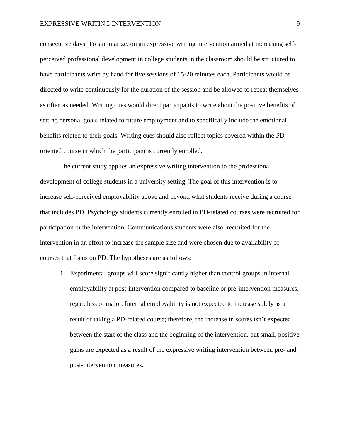#### EXPRESSIVE WRITING INTERVENTION 9

consecutive days. To summarize, on an expressive writing intervention aimed at increasing selfperceived professional development in college students in the classroom should be structured to have participants write by hand for five sessions of 15-20 minutes each. Participants would be directed to write continuously for the duration of the session and be allowed to repeat themselves as often as needed. Writing cues would direct participants to write about the positive benefits of setting personal goals related to future employment and to specifically include the emotional benefits related to their goals. Writing cues should also reflect topics covered within the PDoriented course in which the participant is currently enrolled.

The current study applies an expressive writing intervention to the professional development of college students in a university setting. The goal of this intervention is to increase self-perceived employability above and beyond what students receive during a course that includes PD. Psychology students currently enrolled in PD-related courses were recruited for participation in the intervention. Communications students were also recruited for the intervention in an effort to increase the sample size and were chosen due to availability of courses that focus on PD. The hypotheses are as follows:

1. Experimental groups will score significantly higher than control groups in internal employability at post-intervention compared to baseline or pre-intervention measures, regardless of major. Internal employability is not expected to increase solely as a result of taking a PD-related course; therefore, the increase in scores isn't expected between the start of the class and the beginning of the intervention, but small, positive gains are expected as a result of the expressive writing intervention between pre- and post-intervention measures.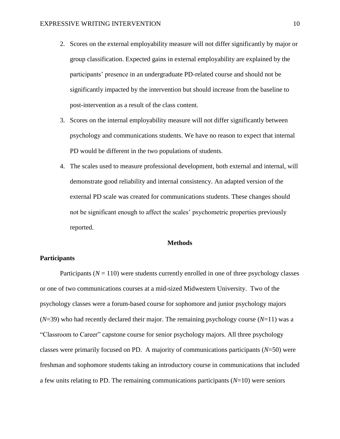- 2. Scores on the external employability measure will not differ significantly by major or group classification. Expected gains in external employability are explained by the participants' presence in an undergraduate PD-related course and should not be significantly impacted by the intervention but should increase from the baseline to post-intervention as a result of the class content.
- 3. Scores on the internal employability measure will not differ significantly between psychology and communications students. We have no reason to expect that internal PD would be different in the two populations of students.
- 4. The scales used to measure professional development, both external and internal, will demonstrate good reliability and internal consistency. An adapted version of the external PD scale was created for communications students. These changes should not be significant enough to affect the scales' psychometric properties previously reported.

#### **Methods**

### **Participants**

Participants  $(N = 110)$  were students currently enrolled in one of three psychology classes or one of two communications courses at a mid-sized Midwestern University. Two of the psychology classes were a forum-based course for sophomore and junior psychology majors (*N*=39) who had recently declared their major. The remaining psychology course (*N*=11) was a "Classroom to Career" capstone course for senior psychology majors. All three psychology classes were primarily focused on PD. A majority of communications participants (*N*=50) were freshman and sophomore students taking an introductory course in communications that included a few units relating to PD. The remaining communications participants (*N*=10) were seniors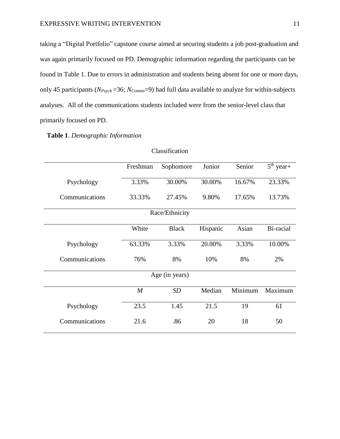taking a "Digital Portfolio" capstone course aimed at securing students a job post-graduation and was again primarily focused on PD. Demographic information regarding the participants can be found in Table 1. Due to errors in administration and students being absent for one or more days, only 45 participants (*NPsych* =36; *NComms*=9) had full data available to analyze for within-subjects analyses. All of the communications students included were from the senior-level class that primarily focused on PD.

# **Table 1**. *Demographic Information*

|                | Freshman | Sophomore      | Junior   | Senior  | $\overline{5^{th}}$ year+ |
|----------------|----------|----------------|----------|---------|---------------------------|
| Psychology     | 3.33%    | 30.00%         | 30.00%   | 16.67%  | 23.33%                    |
| Communications | 33.33%   | 27.45%         | 9.80%    | 17.65%  | 13.73%                    |
| Race/Ethnicity |          |                |          |         |                           |
|                | White    | <b>Black</b>   | Hispanic | Asian   | Bi-racial                 |
| Psychology     | 63.33%   | 3.33%          | 20.00%   | 3.33%   | 10.00%                    |
| Communications | 76%      | 8%             | 10%      | 8%      | 2%                        |
|                |          | Age (in years) |          |         |                           |
|                | M        | SD             | Median   | Minimum | Maximum                   |
| Psychology     | 23.5     | 1.45           | 21.5     | 19      | 61                        |
| Communications | 21.6     | .86            | 20       | 18      | 50                        |

#### Classification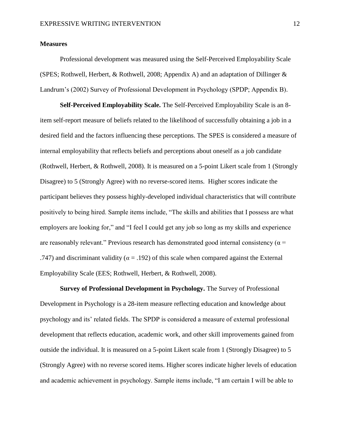#### **Measures**

Professional development was measured using the Self-Perceived Employability Scale (SPES; Rothwell, Herbert, & Rothwell, 2008; Appendix A) and an adaptation of Dillinger & Landrum's (2002) Survey of Professional Development in Psychology (SPDP; Appendix B).

**Self-Perceived Employability Scale.** The Self-Perceived Employability Scale is an 8 item self-report measure of beliefs related to the likelihood of successfully obtaining a job in a desired field and the factors influencing these perceptions. The SPES is considered a measure of internal employability that reflects beliefs and perceptions about oneself as a job candidate (Rothwell, Herbert, & Rothwell, 2008). It is measured on a 5-point Likert scale from 1 (Strongly Disagree) to 5 (Strongly Agree) with no reverse-scored items. Higher scores indicate the participant believes they possess highly-developed individual characteristics that will contribute positively to being hired. Sample items include, "The skills and abilities that I possess are what employers are looking for," and "I feel I could get any job so long as my skills and experience are reasonably relevant." Previous research has demonstrated good internal consistency ( $\alpha$  = .747) and discriminant validity ( $\alpha$  = .192) of this scale when compared against the External Employability Scale (EES; Rothwell, Herbert, & Rothwell, 2008).

**Survey of Professional Development in Psychology.** The Survey of Professional Development in Psychology is a 28-item measure reflecting education and knowledge about psychology and its' related fields. The SPDP is considered a measure of external professional development that reflects education, academic work, and other skill improvements gained from outside the individual. It is measured on a 5-point Likert scale from 1 (Strongly Disagree) to 5 (Strongly Agree) with no reverse scored items. Higher scores indicate higher levels of education and academic achievement in psychology. Sample items include, "I am certain I will be able to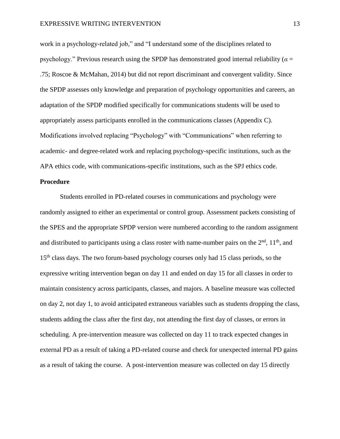#### EXPRESSIVE WRITING INTERVENTION 13

work in a psychology-related job," and "I understand some of the disciplines related to psychology." Previous research using the SPDP has demonstrated good internal reliability ( $\alpha$  = .75; Roscoe & McMahan, 2014) but did not report discriminant and convergent validity. Since the SPDP assesses only knowledge and preparation of psychology opportunities and careers, an adaptation of the SPDP modified specifically for communications students will be used to appropriately assess participants enrolled in the communications classes (Appendix C). Modifications involved replacing "Psychology" with "Communications" when referring to academic- and degree-related work and replacing psychology-specific institutions, such as the APA ethics code, with communications-specific institutions, such as the SPJ ethics code.

# **Procedure**

Students enrolled in PD-related courses in communications and psychology were randomly assigned to either an experimental or control group. Assessment packets consisting of the SPES and the appropriate SPDP version were numbered according to the random assignment and distributed to participants using a class roster with name-number pairs on the  $2<sup>nd</sup>$ ,  $11<sup>th</sup>$ , and 15<sup>th</sup> class days. The two forum-based psychology courses only had 15 class periods, so the expressive writing intervention began on day 11 and ended on day 15 for all classes in order to maintain consistency across participants, classes, and majors. A baseline measure was collected on day 2, not day 1, to avoid anticipated extraneous variables such as students dropping the class, students adding the class after the first day, not attending the first day of classes, or errors in scheduling. A pre-intervention measure was collected on day 11 to track expected changes in external PD as a result of taking a PD-related course and check for unexpected internal PD gains as a result of taking the course. A post-intervention measure was collected on day 15 directly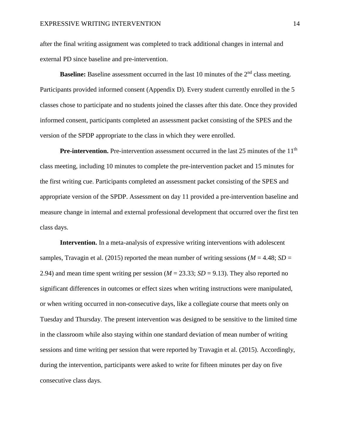after the final writing assignment was completed to track additional changes in internal and external PD since baseline and pre-intervention.

**Baseline:** Baseline assessment occurred in the last 10 minutes of the 2<sup>nd</sup> class meeting. Participants provided informed consent (Appendix D). Every student currently enrolled in the 5 classes chose to participate and no students joined the classes after this date. Once they provided informed consent, participants completed an assessment packet consisting of the SPES and the version of the SPDP appropriate to the class in which they were enrolled.

**Pre-intervention.** Pre-intervention assessment occurred in the last 25 minutes of the 11<sup>th</sup> class meeting, including 10 minutes to complete the pre-intervention packet and 15 minutes for the first writing cue. Participants completed an assessment packet consisting of the SPES and appropriate version of the SPDP. Assessment on day 11 provided a pre-intervention baseline and measure change in internal and external professional development that occurred over the first ten class days.

**Intervention.** In a meta-analysis of expressive writing interventions with adolescent samples, Travagin et al. (2015) reported the mean number of writing sessions ( $M = 4.48$ ;  $SD =$ 2.94) and mean time spent writing per session ( $M = 23.33$ ;  $SD = 9.13$ ). They also reported no significant differences in outcomes or effect sizes when writing instructions were manipulated, or when writing occurred in non-consecutive days, like a collegiate course that meets only on Tuesday and Thursday. The present intervention was designed to be sensitive to the limited time in the classroom while also staying within one standard deviation of mean number of writing sessions and time writing per session that were reported by Travagin et al. (2015). Accordingly, during the intervention, participants were asked to write for fifteen minutes per day on five consecutive class days.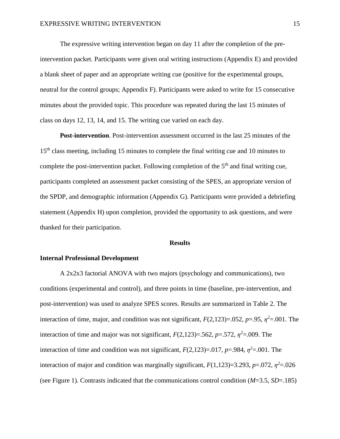The expressive writing intervention began on day 11 after the completion of the preintervention packet. Participants were given oral writing instructions (Appendix E) and provided a blank sheet of paper and an appropriate writing cue (positive for the experimental groups, neutral for the control groups; Appendix F). Participants were asked to write for 15 consecutive minutes about the provided topic. This procedure was repeated during the last 15 minutes of class on days 12, 13, 14, and 15. The writing cue varied on each day.

**Post-intervention**. Post-intervention assessment occurred in the last 25 minutes of the 15<sup>th</sup> class meeting, including 15 minutes to complete the final writing cue and 10 minutes to complete the post-intervention packet. Following completion of the  $5<sup>th</sup>$  and final writing cue, participants completed an assessment packet consisting of the SPES, an appropriate version of the SPDP, and demographic information (Appendix G). Participants were provided a debriefing statement (Appendix H) upon completion, provided the opportunity to ask questions, and were thanked for their participation.

#### **Results**

#### **Internal Professional Development**

A 2x2x3 factorial ANOVA with two majors (psychology and communications), two conditions (experimental and control), and three points in time (baseline, pre-intervention, and post-intervention) was used to analyze SPES scores. Results are summarized in Table 2. The interaction of time, major, and condition was not significant,  $F(2,123)=0.052$ ,  $p=.95$ ,  $\eta^2=.001$ . The interaction of time and major was not significant,  $F(2,123)=0.562$ ,  $p=.572$ ,  $\eta^2=.009$ . The interaction of time and condition was not significant,  $F(2,123)=0.017$ ,  $p=.984$ ,  $\eta^2=.001$ . The interaction of major and condition was marginally significant,  $F(1,123)=3.293$ ,  $p=.072$ ,  $\eta^2=.026$ (see Figure 1). Contrasts indicated that the communications control condition (*M*=3.5, *SD*=.185)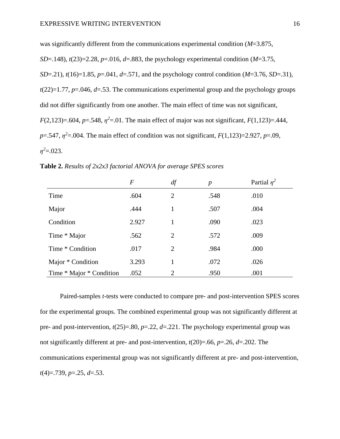was significantly different from the communications experimental condition (*M*=3.875, *SD*=.148), *t*(23)=2.28, *p*=.016, *d*=.883, the psychology experimental condition (*M*=3.75, *SD*=.21),  $t(16)=1.85$ ,  $p=0.041$ ,  $d=0.571$ , and the psychology control condition (*M*=3.76, *SD*=.31),  $t(22)=1.77$ ,  $p=.046$ ,  $d=.53$ . The communications experimental group and the psychology groups did not differ significantly from one another. The main effect of time was not significant, *F*(2,123)=.604, *p*=.548,  $\eta^2$ =.01. The main effect of major was not significant, *F*(1,123)=.444,  $p = 0.547$ ,  $\eta^2 = 0.004$ . The main effect of condition was not significant,  $F(1,123) = 2.927$ ,  $p = 0.09$ ,  $\eta^2 = 0.023$ .

**Table 2.** *Results of 2x2x3 factorial ANOVA for average SPES scores*

|                          | $\boldsymbol{F}$ | df | $\boldsymbol{p}$ | Partial $\eta^2$ |
|--------------------------|------------------|----|------------------|------------------|
| Time                     | .604             | 2  | .548             | .010             |
| Major                    | .444             | 1  | .507             | .004             |
| Condition                | 2.927            | 1  | .090             | .023             |
| Time * Major             | .562             | 2  | .572             | .009             |
| Time * Condition         | .017             | 2  | .984             | .000             |
| Major * Condition        | 3.293            | 1  | .072             | .026             |
| Time * Major * Condition | .052             | 2  | .950             | .001             |

Paired-samples *t*-tests were conducted to compare pre- and post-intervention SPES scores for the experimental groups. The combined experimental group was not significantly different at pre- and post-intervention,  $t(25)=0.80$ ,  $p=.22$ ,  $d=.221$ . The psychology experimental group was not significantly different at pre- and post-intervention, *t*(20)=.66, *p*=.26, *d*=.202. The communications experimental group was not significantly different at pre- and post-intervention, *t*(4)=.739, *p*=.25, *d*=.53.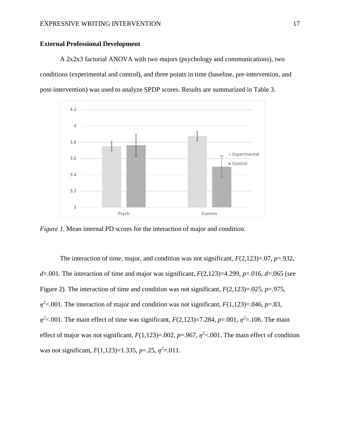# **External Professional Development**

A 2x2x3 factorial ANOVA with two majors (psychology and communications), two conditions (experimental and control), and three points in time (baseline, pre-intervention, and post-intervention) was used to analyze SPDP scores. Results are summarized in Table 3.



*Figure 1.* Mean internal PD scores for the interaction of major and condition.

The interaction of time, major, and condition was not significant, *F*(2,123)=.07, *p*=.932,  $d=0.001$ . The interaction of time and major was significant,  $F(2,123)=4.299$ ,  $p=0.016$ ,  $d=0.065$  (see Figure 2). The interaction of time and condition was not significant, *F*(2,123)=.025, *p*=.975,  $\eta^2$ <.001. The interaction of major and condition was not significant, *F*(1,123)=.046, *p*=.83,  $\eta^2$ <.001. The main effect of time was significant, *F*(2,123)=7.284, *p*=.001,  $\eta^2$ =.106. The main effect of major was not significant,  $F(1,123) = .002$ ,  $p = .967$ ,  $\eta^2 < .001$ . The main effect of condition was not significant,  $F(1,123)=1.335$ ,  $p=.25$ ,  $\eta^2=.011$ .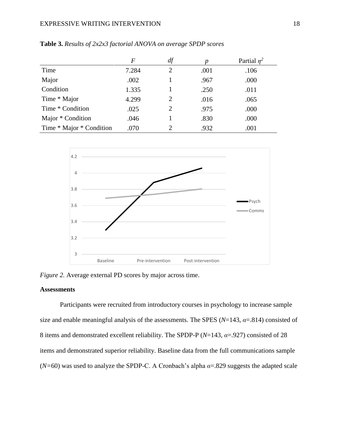#### EXPRESSIVE WRITING INTERVENTION 18

|                          | F     | df |      | Partial $n^2$ |
|--------------------------|-------|----|------|---------------|
| Time                     | 7.284 |    | .001 | .106          |
| Major                    | .002  |    | .967 | .000          |
| Condition                | 1.335 |    | .250 | .011          |
| Time * Major             | 4.299 |    | .016 | .065          |
| Time * Condition         | .025  | 2  | .975 | .000          |
| Major * Condition        | .046  |    | .830 | .000          |
| Time * Major * Condition | .070  |    | .932 | .001          |

**Table 3.** *Results of 2x2x3 factorial ANOVA on average SPDP scores*



*Figure 2.* Average external PD scores by major across time.

# **Assessments**

Participants were recruited from introductory courses in psychology to increase sample size and enable meaningful analysis of the assessments. The SPES  $(N=143, \alpha=.814)$  consisted of 8 items and demonstrated excellent reliability. The SPDP-P (*N*=143, *α*=.927) consisted of 28 items and demonstrated superior reliability. Baseline data from the full communications sample (*N=*60) was used to analyze the SPDP-C. A Cronbach's alpha *α*=.829 suggests the adapted scale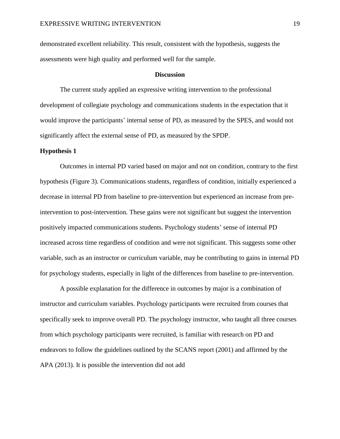demonstrated excellent reliability. This result, consistent with the hypothesis, suggests the assessments were high quality and performed well for the sample.

#### **Discussion**

The current study applied an expressive writing intervention to the professional development of collegiate psychology and communications students in the expectation that it would improve the participants' internal sense of PD, as measured by the SPES, and would not significantly affect the external sense of PD, as measured by the SPDP.

#### **Hypothesis 1**

Outcomes in internal PD varied based on major and not on condition, contrary to the first hypothesis (Figure 3). Communications students, regardless of condition, initially experienced a decrease in internal PD from baseline to pre-intervention but experienced an increase from preintervention to post-intervention. These gains were not significant but suggest the intervention positively impacted communications students. Psychology students' sense of internal PD increased across time regardless of condition and were not significant. This suggests some other variable, such as an instructor or curriculum variable, may be contributing to gains in internal PD for psychology students, especially in light of the differences from baseline to pre-intervention.

A possible explanation for the difference in outcomes by major is a combination of instructor and curriculum variables. Psychology participants were recruited from courses that specifically seek to improve overall PD. The psychology instructor, who taught all three courses from which psychology participants were recruited, is familiar with research on PD and endeavors to follow the guidelines outlined by the SCANS report (2001) and affirmed by the APA (2013). It is possible the intervention did not add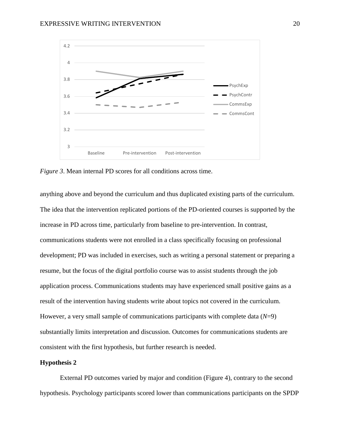

*Figure 3.* Mean internal PD scores for all conditions across time.

anything above and beyond the curriculum and thus duplicated existing parts of the curriculum. The idea that the intervention replicated portions of the PD-oriented courses is supported by the increase in PD across time, particularly from baseline to pre-intervention. In contrast, communications students were not enrolled in a class specifically focusing on professional development; PD was included in exercises, such as writing a personal statement or preparing a resume, but the focus of the digital portfolio course was to assist students through the job application process. Communications students may have experienced small positive gains as a result of the intervention having students write about topics not covered in the curriculum. However, a very small sample of communications participants with complete data (*N*=9) substantially limits interpretation and discussion. Outcomes for communications students are consistent with the first hypothesis, but further research is needed.

#### **Hypothesis 2**

External PD outcomes varied by major and condition (Figure 4), contrary to the second hypothesis. Psychology participants scored lower than communications participants on the SPDP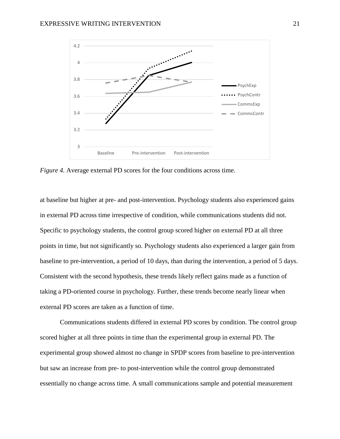

*Figure 4.* Average external PD scores for the four conditions across time.

at baseline but higher at pre- and post-intervention. Psychology students also experienced gains in external PD across time irrespective of condition, while communications students did not. Specific to psychology students, the control group scored higher on external PD at all three points in time, but not significantly so. Psychology students also experienced a larger gain from baseline to pre-intervention, a period of 10 days, than during the intervention, a period of 5 days. Consistent with the second hypothesis, these trends likely reflect gains made as a function of taking a PD-oriented course in psychology. Further, these trends become nearly linear when external PD scores are taken as a function of time.

Communications students differed in external PD scores by condition. The control group scored higher at all three points in time than the experimental group in external PD. The experimental group showed almost no change in SPDP scores from baseline to pre-intervention but saw an increase from pre- to post-intervention while the control group demonstrated essentially no change across time. A small communications sample and potential measurement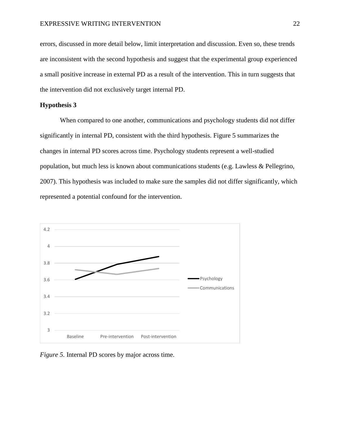errors, discussed in more detail below, limit interpretation and discussion. Even so, these trends are inconsistent with the second hypothesis and suggest that the experimental group experienced a small positive increase in external PD as a result of the intervention. This in turn suggests that the intervention did not exclusively target internal PD.

### **Hypothesis 3**

When compared to one another, communications and psychology students did not differ significantly in internal PD, consistent with the third hypothesis. Figure 5 summarizes the changes in internal PD scores across time. Psychology students represent a well-studied population, but much less is known about communications students (e.g. Lawless & Pellegrino, 2007). This hypothesis was included to make sure the samples did not differ significantly, which represented a potential confound for the intervention.



*Figure 5.* Internal PD scores by major across time.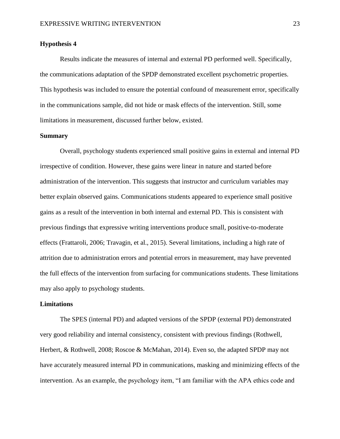#### **Hypothesis 4**

Results indicate the measures of internal and external PD performed well. Specifically, the communications adaptation of the SPDP demonstrated excellent psychometric properties. This hypothesis was included to ensure the potential confound of measurement error, specifically in the communications sample, did not hide or mask effects of the intervention. Still, some limitations in measurement, discussed further below, existed.

#### **Summary**

Overall, psychology students experienced small positive gains in external and internal PD irrespective of condition. However, these gains were linear in nature and started before administration of the intervention. This suggests that instructor and curriculum variables may better explain observed gains. Communications students appeared to experience small positive gains as a result of the intervention in both internal and external PD. This is consistent with previous findings that expressive writing interventions produce small, positive-to-moderate effects (Frattaroli, 2006; Travagin, et al., 2015). Several limitations, including a high rate of attrition due to administration errors and potential errors in measurement, may have prevented the full effects of the intervention from surfacing for communications students. These limitations may also apply to psychology students.

#### **Limitations**

The SPES (internal PD) and adapted versions of the SPDP (external PD) demonstrated very good reliability and internal consistency, consistent with previous findings (Rothwell, Herbert, & Rothwell, 2008; Roscoe & McMahan, 2014). Even so, the adapted SPDP may not have accurately measured internal PD in communications, masking and minimizing effects of the intervention. As an example, the psychology item, "I am familiar with the APA ethics code and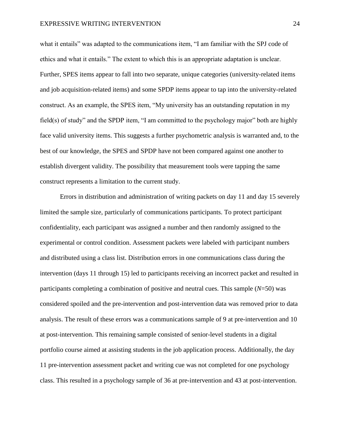what it entails" was adapted to the communications item, "I am familiar with the SPJ code of ethics and what it entails." The extent to which this is an appropriate adaptation is unclear. Further, SPES items appear to fall into two separate, unique categories (university-related items and job acquisition-related items) and some SPDP items appear to tap into the university-related construct. As an example, the SPES item, "My university has an outstanding reputation in my field(s) of study" and the SPDP item, "I am committed to the psychology major" both are highly face valid university items. This suggests a further psychometric analysis is warranted and, to the best of our knowledge, the SPES and SPDP have not been compared against one another to establish divergent validity. The possibility that measurement tools were tapping the same construct represents a limitation to the current study.

Errors in distribution and administration of writing packets on day 11 and day 15 severely limited the sample size, particularly of communications participants. To protect participant confidentiality, each participant was assigned a number and then randomly assigned to the experimental or control condition. Assessment packets were labeled with participant numbers and distributed using a class list. Distribution errors in one communications class during the intervention (days 11 through 15) led to participants receiving an incorrect packet and resulted in participants completing a combination of positive and neutral cues. This sample (*N*=50) was considered spoiled and the pre-intervention and post-intervention data was removed prior to data analysis. The result of these errors was a communications sample of 9 at pre-intervention and 10 at post-intervention. This remaining sample consisted of senior-level students in a digital portfolio course aimed at assisting students in the job application process. Additionally, the day 11 pre-intervention assessment packet and writing cue was not completed for one psychology class. This resulted in a psychology sample of 36 at pre-intervention and 43 at post-intervention.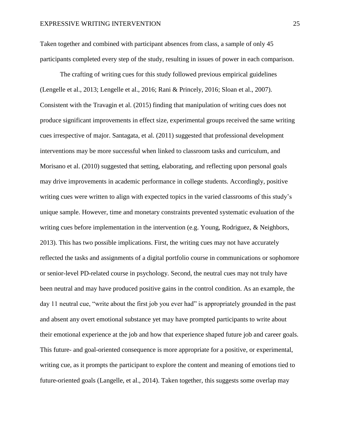Taken together and combined with participant absences from class, a sample of only 45 participants completed every step of the study, resulting in issues of power in each comparison.

The crafting of writing cues for this study followed previous empirical guidelines (Lengelle et al., 2013; Lengelle et al., 2016; Rani & Princely, 2016; Sloan et al., 2007). Consistent with the Travagin et al. (2015) finding that manipulation of writing cues does not produce significant improvements in effect size, experimental groups received the same writing cues irrespective of major. Santagata, et al. (2011) suggested that professional development interventions may be more successful when linked to classroom tasks and curriculum, and Morisano et al. (2010) suggested that setting, elaborating, and reflecting upon personal goals may drive improvements in academic performance in college students. Accordingly, positive writing cues were written to align with expected topics in the varied classrooms of this study's unique sample. However, time and monetary constraints prevented systematic evaluation of the writing cues before implementation in the intervention (e.g. Young, Rodriguez, & Neighbors, 2013). This has two possible implications. First, the writing cues may not have accurately reflected the tasks and assignments of a digital portfolio course in communications or sophomore or senior-level PD-related course in psychology. Second, the neutral cues may not truly have been neutral and may have produced positive gains in the control condition. As an example, the day 11 neutral cue, "write about the first job you ever had" is appropriately grounded in the past and absent any overt emotional substance yet may have prompted participants to write about their emotional experience at the job and how that experience shaped future job and career goals. This future- and goal-oriented consequence is more appropriate for a positive, or experimental, writing cue, as it prompts the participant to explore the content and meaning of emotions tied to future-oriented goals (Langelle, et al., 2014). Taken together, this suggests some overlap may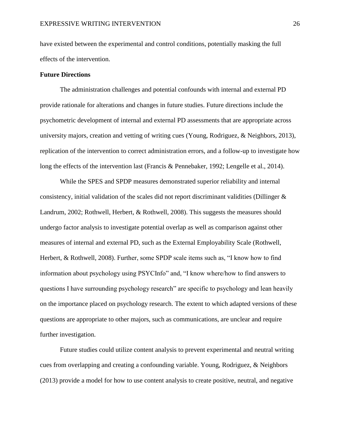have existed between the experimental and control conditions, potentially masking the full effects of the intervention.

#### **Future Directions**

The administration challenges and potential confounds with internal and external PD provide rationale for alterations and changes in future studies. Future directions include the psychometric development of internal and external PD assessments that are appropriate across university majors, creation and vetting of writing cues (Young, Rodriguez, & Neighbors, 2013), replication of the intervention to correct administration errors, and a follow-up to investigate how long the effects of the intervention last (Francis & Pennebaker, 1992; Lengelle et al., 2014).

While the SPES and SPDP measures demonstrated superior reliability and internal consistency, initial validation of the scales did not report discriminant validities (Dillinger & Landrum, 2002; Rothwell, Herbert, & Rothwell, 2008). This suggests the measures should undergo factor analysis to investigate potential overlap as well as comparison against other measures of internal and external PD, such as the External Employability Scale (Rothwell, Herbert, & Rothwell, 2008). Further, some SPDP scale items such as, "I know how to find information about psychology using PSYCInfo" and, "I know where/how to find answers to questions I have surrounding psychology research" are specific to psychology and lean heavily on the importance placed on psychology research. The extent to which adapted versions of these questions are appropriate to other majors, such as communications, are unclear and require further investigation.

Future studies could utilize content analysis to prevent experimental and neutral writing cues from overlapping and creating a confounding variable. Young, Rodriguez, & Neighbors (2013) provide a model for how to use content analysis to create positive, neutral, and negative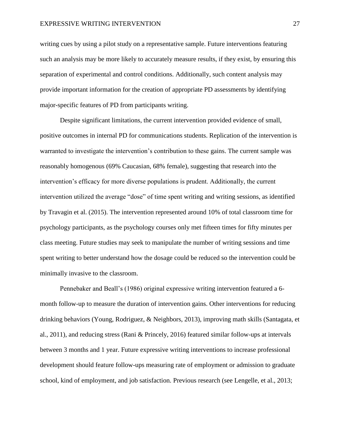writing cues by using a pilot study on a representative sample. Future interventions featuring such an analysis may be more likely to accurately measure results, if they exist, by ensuring this separation of experimental and control conditions. Additionally, such content analysis may provide important information for the creation of appropriate PD assessments by identifying major-specific features of PD from participants writing.

Despite significant limitations, the current intervention provided evidence of small, positive outcomes in internal PD for communications students. Replication of the intervention is warranted to investigate the intervention's contribution to these gains. The current sample was reasonably homogenous (69% Caucasian, 68% female), suggesting that research into the intervention's efficacy for more diverse populations is prudent. Additionally, the current intervention utilized the average "dose" of time spent writing and writing sessions, as identified by Travagin et al. (2015). The intervention represented around 10% of total classroom time for psychology participants, as the psychology courses only met fifteen times for fifty minutes per class meeting. Future studies may seek to manipulate the number of writing sessions and time spent writing to better understand how the dosage could be reduced so the intervention could be minimally invasive to the classroom.

Pennebaker and Beall's (1986) original expressive writing intervention featured a 6 month follow-up to measure the duration of intervention gains. Other interventions for reducing drinking behaviors (Young, Rodriguez, & Neighbors, 2013), improving math skills (Santagata, et al., 2011), and reducing stress (Rani & Princely, 2016) featured similar follow-ups at intervals between 3 months and 1 year. Future expressive writing interventions to increase professional development should feature follow-ups measuring rate of employment or admission to graduate school, kind of employment, and job satisfaction. Previous research (see Lengelle, et al., 2013;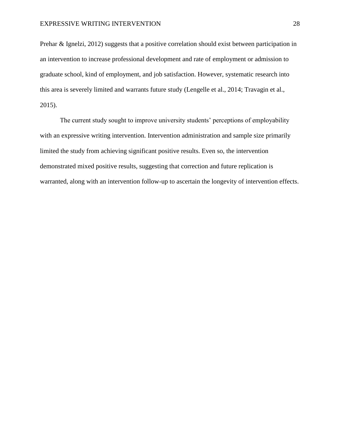Prehar & Ignelzi, 2012) suggests that a positive correlation should exist between participation in an intervention to increase professional development and rate of employment or admission to graduate school, kind of employment, and job satisfaction. However, systematic research into this area is severely limited and warrants future study (Lengelle et al., 2014; Travagin et al., 2015).

The current study sought to improve university students' perceptions of employability with an expressive writing intervention. Intervention administration and sample size primarily limited the study from achieving significant positive results. Even so, the intervention demonstrated mixed positive results, suggesting that correction and future replication is warranted, along with an intervention follow-up to ascertain the longevity of intervention effects.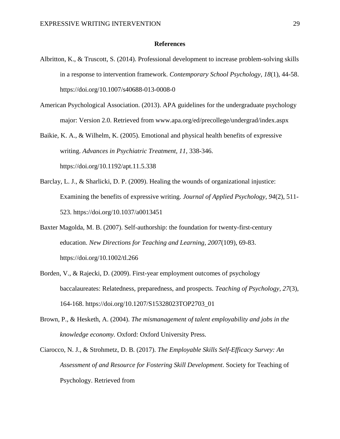#### **References**

- Albritton, K., & Truscott, S. (2014). Professional development to increase problem-solving skills in a response to intervention framework. *Contemporary School Psychology, 18*(1), 44-58. https://doi.org/10.1007/s40688-013-0008-0
- American Psychological Association. (2013). APA guidelines for the undergraduate psychology major: Version 2.0. Retrieved from www.apa.org/ed/precollege/undergrad/index.aspx

Baikie, K. A., & Wilhelm, K. (2005). Emotional and physical health benefits of expressive writing. *Advances in Psychiatric Treatment, 11,* 338-346. <https://doi.org/10.1192/apt.11.5.338>

- Barclay, L. J., & Sharlicki, D. P. (2009). Healing the wounds of organizational injustice: Examining the benefits of expressive writing. *Journal of Applied Psychology, 94*(2), 511- 523. https://doi.org/10.1037/a0013451
- Baxter Magolda, M. B. (2007). Self-authorship: the foundation for twenty-first-century education. *New Directions for Teaching and Learning, 2007*(109), 69-83. https://doi.org/10.1002/tl.266
- Borden, V., & Rajecki, D. (2009). First-year employment outcomes of psychology baccalaureates: Relatedness, preparedness, and prospects. *Teaching of Psychology, 27*(3), 164-168. https://doi.org/10.1207/S15328023TOP2703\_01
- Brown, P., & Hesketh, A. (2004). *The mismanagement of talent employability and jobs in the knowledge economy.* Oxford: Oxford University Press.
- Ciarocco, N. J., & Strohmetz, D. B. (2017). *The Employable Skills Self-Efficacy Survey: An Assessment of and Resource for Fostering Skill Development*. Society for Teaching of Psychology. Retrieved from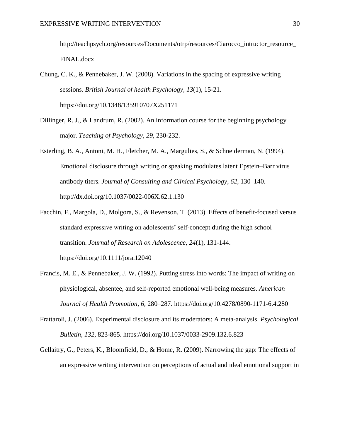[http://teachpsych.org/resources/Documents/otrp/resources/Ciarocco\\_intructor\\_resource\\_](http://teachpsych.org/resources/Documents/otrp/resources/Ciarocco_intructor_resource_FINAL.docx) [FINAL.docx](http://teachpsych.org/resources/Documents/otrp/resources/Ciarocco_intructor_resource_FINAL.docx)

- Chung, C. K., & Pennebaker, J. W. (2008). Variations in the spacing of expressive writing sessions. *British Journal of health Psychology, 13*(1), 15-21. https://doi.org/10.1348/135910707X251171
- Dillinger, R. J., & Landrum, R. (2002). An information course for the beginning psychology major. *Teaching of Psychology, 29*, 230-232.
- Esterling, B. A., Antoni, M. H., Fletcher, M. A., Margulies, S., & Schneiderman, N. (1994). Emotional disclosure through writing or speaking modulates latent Epstein–Barr virus antibody titers. *Journal of Consulting and Clinical Psychology*, *62,* 130–140. http://dx.doi.org/10.1037/0022-006X.62.1.130
- Facchin, F., Margola, D., Molgora, S., & Revenson, T. (2013). Effects of benefit-focused versus standard expressive writing on adolescents' self-concept during the high school transition. *Journal of Research on Adolescence, 24*(1), 131-144. https://doi.org/10.1111/jora.12040
- Francis, M. E., & Pennebaker, J. W. (1992). Putting stress into words: The impact of writing on physiological, absentee, and self-reported emotional well-being measures. *American Journal of Health Promotion*, *6,* 280–287. https://doi.org/10.4278/0890-1171-6.4.280
- Frattaroli, J. (2006). Experimental disclosure and its moderators: A meta-analysis. *Psychological Bulletin, 132*, 823-865. https://doi.org/10.1037/0033-2909.132.6.823
- Gellaitry, G., Peters, K., Bloomfield, D., & Home, R. (2009). Narrowing the gap: The effects of an expressive writing intervention on perceptions of actual and ideal emotional support in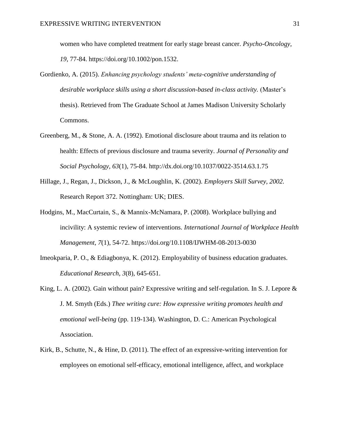women who have completed treatment for early stage breast cancer. *Psycho-Oncology, 19*, 77-84. https://doi.org/10.1002/pon.1532.

- Gordienko, A. (2015). *Enhancing psychology students' meta-cognitive understanding of desirable workplace skills using a short discussion-based in-class activity.* (Master's thesis). Retrieved from The Graduate School at James Madison University Scholarly Commons.
- Greenberg, M., & Stone, A. A. (1992). Emotional disclosure about trauma and its relation to health: Effects of previous disclosure and trauma severity. *Journal of Personality and Social Psychology, 63*(1), 75-84. http://dx.doi.org/10.1037/0022-3514.63.1.75
- Hillage, J., Regan, J., Dickson, J., & McLoughlin, K. (2002). *Employers Skill Survey, 2002.*  Research Report 372. Nottingham: UK; DIES.
- Hodgins, M., MacCurtain, S., & Mannix-McNamara, P. (2008). Workplace bullying and incivility: A systemic review of interventions. *International Journal of Workplace Health Management, 7*(1), 54-72. https://doi.org/10.1108/IJWHM-08-2013-0030
- Imeokparia, P. O., & Ediagbonya, K. (2012). Employability of business education graduates. *Educational Research, 3*(8), 645-651.
- King, L. A. (2002). Gain without pain? Expressive writing and self-regulation. In S. J. Lepore & J. M. Smyth (Eds.) *Thee writing cure: How expressive writing promotes health and emotional well-being* (pp. 119-134). Washington, D. C.: American Psychological Association.
- Kirk, B., Schutte, N., & Hine, D. (2011). The effect of an expressive-writing intervention for employees on emotional self-efficacy, emotional intelligence, affect, and workplace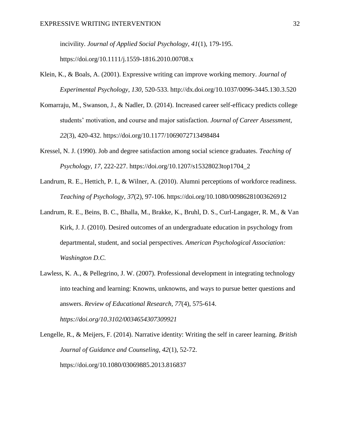incivility. *Journal of Applied Social Psychology, 41*(1)*,* 179-195. https://doi.org/10.1111/j.1559-1816.2010.00708.x

- Klein, K., & Boals, A. (2001). Expressive writing can improve working memory. *Journal of Experimental Psychology, 130,* 520-533. http://dx.doi.org/10.1037/0096-3445.130.3.520
- Komarraju, M., Swanson, J., & Nadler, D. (2014). Increased career self-efficacy predicts college students' motivation, and course and major satisfaction. *Journal of Career Assessment, 22*(3), 420-432. https://doi.org/10.1177/1069072713498484
- Kressel, N. J. (1990). Job and degree satisfaction among social science graduates. *Teaching of Psychology, 17,* 222-227. https://doi.org/10.1207/s15328023top1704\_2
- Landrum, R. E., Hettich, P. I., & Wilner, A. (2010). Alumni perceptions of workforce readiness. *Teaching of Psychology, 37*(2), 97-106. https://doi.org/10.1080/00986281003626912
- Landrum, R. E., Beins, B. C., Bhalla, M., Brakke, K., Bruhl, D. S., Curl-Langager, R. M., & Van Kirk, J. J. (2010). Desired outcomes of an undergraduate education in psychology from departmental, student, and social perspectives. *American Psychological Association: Washington D.C.*
- Lawless, K. A., & Pellegrino, J. W. (2007). Professional development in integrating technology into teaching and learning: Knowns, unknowns, and ways to pursue better questions and answers. *Review of Educational Research, 77*(4), 575-614. *https://doi.org/10.3102/0034654307309921*

Lengelle, R., & Meijers, F. (2014). Narrative identity: Writing the self in career learning. *British Journal of Guidance and Counseling, 42*(1), 52-72. https://doi.org/10.1080/03069885.2013.816837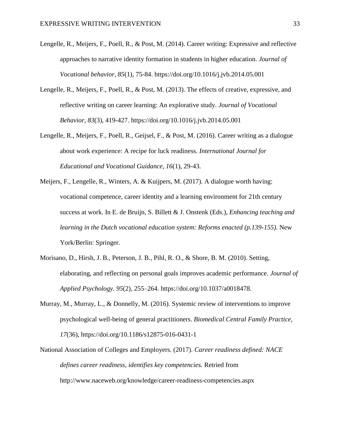- Lengelle, R., Meijers, F., Poell, R., & Post, M. (2014). Career writing: Expressive and reflective approaches to narrative identity formation in students in higher education. *Journal of Vocational behavior, 85*(1), 75-84. https://doi.org/10.1016/j.jvb.2014.05.001
- Lengelle, R., Meijers, F., Poell, R., & Post, M. (2013). The effects of creative, expressive, and reflective writing on career learning: An explorative study. *Journal of Vocational Behavior, 83*(3), 419-427. https://doi.org/10.1016/j.jvb.2014.05.001
- Lengelle, R., Meijers, F., Poell, R., Geijsel, F., & Post, M. (2016). Career writing as a dialogue about work experience: A recipe for luck readiness. *International Journal for Educational and Vocational Guidance, 16*(1), 29-43.
- Meijers, F., Lengelle, R., Winters, A. & Kuijpers, M. (2017). A dialogue worth having: vocational competence, career identity and a learning environment for 21th century success at work. In E. de Bruijn, S. Billett & J. Onstenk (Eds.), *Enhancing teaching and learning in the Dutch vocational education system: Reforms enacted (p.139-155)*. New York/Berlin: Springer.
- Morisano, D., Hirsh, J. B., Peterson, J. B., Pihl, R. O., & Shore, B. M. (2010). Setting, elaborating, and reflecting on personal goals improves academic performance. *Journal of Applied Psychology. 95*(2), 255–264. https://doi.org/10.1037/a0018478.
- Murray, M., Murray, L., & Donnelly, M. (2016). Systemic review of interventions to improve psychological well-being of general practitioners. *Biomedical Central Family Practice, 17*(36), https://doi.org/10.1186/s12875-016-0431-1
- National Association of Colleges and Employers. (2017). *Career readiness defined: NACE defines career readiness, identifies key competencies.* Retried from http://www.naceweb.org/knowledge/career-readiness-competencies.aspx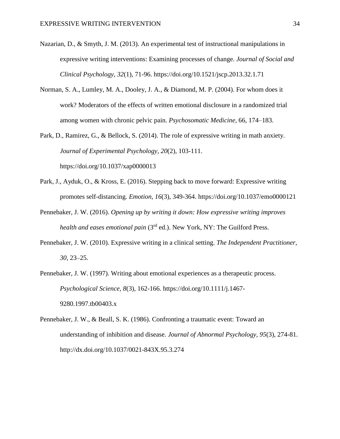- Nazarian, D., & Smyth, J. M. (2013). An experimental test of instructional manipulations in expressive writing interventions: Examining processes of change. *Journal of Social and Clinical Psychology, 32*(1), 71-96. https://doi.org/10.1521/jscp.2013.32.1.71
- Norman, S. A., Lumley, M. A., Dooley, J. A., & Diamond, M. P. (2004). For whom does it work? Moderators of the effects of written emotional disclosure in a randomized trial among women with chronic pelvic pain. *Psychosomatic Medicine*, 66, 174–183.
- Park, D., Ramirez, G., & Bellock, S. (2014). The role of expressive writing in math anxiety. *Journal of Experimental Psychology, 20*(2), 103-111. https://doi.org/10.1037/xap0000013
- Park, J., Ayduk, O., & Kross, E. (2016). Stepping back to move forward: Expressive writing promotes self-distancing. *Emotion, 16*(3), 349-364. https://doi.org/10.1037/emo0000121
- Pennebaker, J. W. (2016). *Opening up by writing it down: How expressive writing improves health and eases emotional pain* (3rd ed.). New York, NY: The Guilford Press.
- Pennebaker, J. W. (2010). Expressive writing in a clinical setting. *The Independent Practitioner, 30*, 23–25.
- Pennebaker, J. W. (1997). Writing about emotional experiences as a therapeutic process. *Psychological Science, 8*(3), 162-166. https://doi.org/10.1111/j.1467- 9280.1997.tb00403.x
- Pennebaker, J. W., & Beall, S. K. (1986). Confronting a traumatic event: Toward an understanding of inhibition and disease. *Journal of Abnormal Psychology, 95*(3), 274-81. http://dx.doi.org/10.1037/0021-843X.95.3.274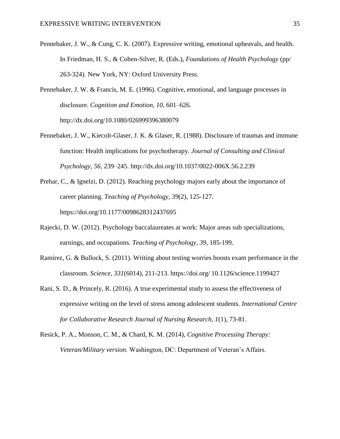- Pennebaker, J. W., & Cung, C. K. (2007). Expressive writing, emotional upheavals, and health. In Friedman, H. S., & Cohen-Silver, R. (Eds.), *Foundations of Health Psychology* (pp/ 263-324). New York, NY: Oxford University Press.
- Pennebaker, J. W. & Francis, M. E. (1996). Cognitive, emotional, and language processes in disclosure. *Cognition and Emotion*, *10,* 601–626. http://dx.doi.org/10.1080/026999396380079
- Pennebaker, J. W., Kiecolt-Glaser, J. K. & Glaser, R. (1988). Disclosure of traumas and immune function: Health implications for psychotherapy. *Journal of Consulting and Clinical Psychology*, *56,* 239–245. http://dx.doi.org/10.1037/0022-006X.56.2.239
- Prehar, C., & Ignelzi, D. (2012). Reaching psychology majors early about the importance of career planning. *Teaching of Psychology, 39*(2), 125-127. https://doi.org/10.1177/0098628312437695
- Rajecki, D. W. (2012). Psychology baccalaureates at work: Major areas sub specializations, earnings, and occupations. *Teaching of Psychology, 39*, 185-199.
- Ramirez, G. & Bullock, S. (2011). Writing about testing worries boosts exam performance in the classroom. *Science, 331*(6014), 211-213. https://doi.org/ 10.1126/science.1199427
- Rani, S. D., & Princely, R. (2016). A true experimental study to assess the effectiveness of expressive writing on the level of stress among adolescent students. *International Centre for Collaborative Research Journal of Nursing Research, 1*(1), 73-81.
- Resick, P. A., Monson, C. M., & Chard, K. M. (2014), *Cognitive Processing Therapy: Veteran/Military version.* Washington, DC: Department of Veteran's Affairs.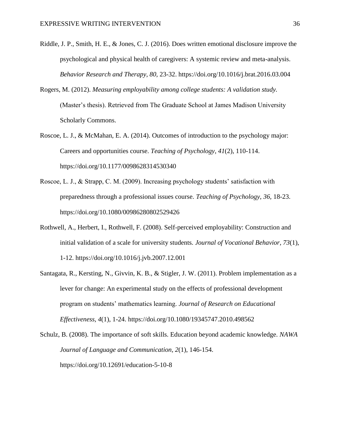- Riddle, J. P., Smith, H. E., & Jones, C. J. (2016). Does written emotional disclosure improve the psychological and physical health of caregivers: A systemic review and meta-analysis. *Behavior Research and Therapy, 80,* 23-32. https://doi.org/10.1016/j.brat.2016.03.004
- Rogers, M. (2012). *Measuring employability among college students: A validation study.* (Master's thesis). Retrieved from The Graduate School at James Madison University Scholarly Commons.
- Roscoe, L. J., & McMahan, E. A. (2014). Outcomes of introduction to the psychology major: Careers and opportunities course. *Teaching of Psychology, 41*(2), 110-114. https://doi.org/10.1177/0098628314530340
- Roscoe, L. J., & Strapp, C. M. (2009). Increasing psychology students' satisfaction with preparedness through a professional issues course. *Teaching of Psychology, 36,* 18-23. https://doi.org/10.1080/00986280802529426
- Rothwell, A., Herbert, I., Rothwell, F. (2008). Self-perceived employability: Construction and initial validation of a scale for university students. *Journal of Vocational Behavior, 73*(1), 1-12. https://doi.org/10.1016/j.jvb.2007.12.001
- Santagata, R., Kersting, N., Givvin, K. B., & Stigler, J. W. (2011). Problem implementation as a lever for change: An experimental study on the effects of professional development program on students' mathematics learning. *Journal of Research on Educational Effectiveness, 4*(1), 1-24. https://doi.org/10.1080/19345747.2010.498562

Schulz, B. (2008). The importance of soft skills. Education beyond academic knowledge. *NAWA Journal of Language and Communication, 2*(1), 146-154. https://doi.org/10.12691/education-5-10-8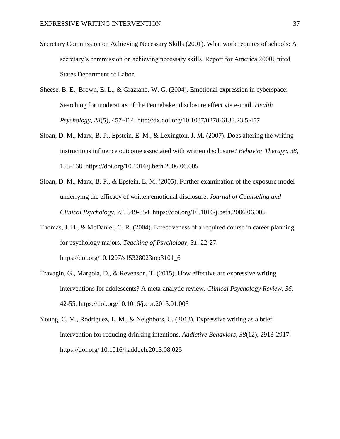- Secretary Commission on Achieving Necessary Skills (2001). What work requires of schools: A secretary's commission on achieving necessary skills. Report for America 2000United States Department of Labor.
- Sheese, B. E., Brown, E. L., & Graziano, W. G. (2004). Emotional expression in cyberspace: Searching for moderators of the Pennebaker disclosure effect via e-mail. *Health Psychology, 23*(5), 457-464. http://dx.doi.org/10.1037/0278-6133.23.5.457
- Sloan, D. M., Marx, B. P., Epstein, E. M., & Lexington, J. M. (2007). Does altering the writing instructions influence outcome associated with written disclosure? *Behavior Therapy, 38,*  155-168. https://doi.org/10.1016/j.beth.2006.06.005
- Sloan, D. M., Marx, B. P., & Epstein, E. M. (2005). Further examination of the exposure model underlying the efficacy of written emotional disclosure. *Journal of Counseling and Clinical Psychology, 73*, 549-554. https://doi.org/10.1016/j.beth.2006.06.005
- Thomas, J. H., & McDaniel, C. R. (2004). Effectiveness of a required course in career planning for psychology majors. *Teaching of Psychology, 31*, 22-27. https://doi.org/10.1207/s15328023top3101\_6
- Travagin, G., Margola, D., & Revenson, T. (2015). How effective are expressive writing interventions for adolescents? A meta-analytic review. *Clinical Psychology Review, 36,* 42-55. https://doi.org/10.1016/j.cpr.2015.01.003
- Young, C. M., Rodriguez, L. M., & Neighbors, C. (2013). Expressive writing as a brief intervention for reducing drinking intentions. *Addictive Behaviors, 38*(12), 2913-2917. https://doi.org/ 10.1016/j.addbeh.2013.08.025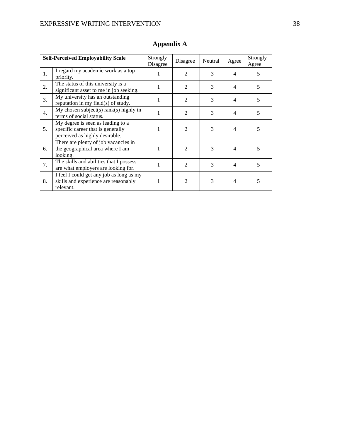|                  | <b>Self-Perceived Employability Scale</b>                                                                | Strongly<br>Disagree | Disagree       | Neutral | Agree                    | Strongly<br>Agree |
|------------------|----------------------------------------------------------------------------------------------------------|----------------------|----------------|---------|--------------------------|-------------------|
| 1.               | I regard my academic work as a top<br>priority.                                                          | 1                    | 2              | 3       | 4                        | 5                 |
| 2.               | The status of this university is a<br>significant asset to me in job seeking.                            |                      | 2              | 3       | $\overline{4}$           | 5                 |
| 3.               | My university has an outstanding<br>reputation in my field(s) of study.                                  |                      | 2              | 3       | $\overline{\mathcal{A}}$ | 5                 |
| $\overline{4}$ . | My chosen subject(s) rank(s) highly in<br>terms of social status.                                        |                      | $\mathfrak{D}$ | 3       | $\overline{\mathcal{A}}$ | 5                 |
| 5.               | My degree is seen as leading to a<br>specific career that is generally<br>perceived as highly desirable. | 1                    | $\mathfrak{D}$ | 3       | $\overline{4}$           | 5                 |
| 6.               | There are plenty of job vacancies in<br>the geographical area where I am<br>looking.                     | 1                    | 2              | 3       | 4                        | 5                 |
| 7.               | The skills and abilities that I possess<br>are what employers are looking for.                           |                      | $\mathfrak{D}$ | 3       | 4                        | 5                 |
| 8.               | I feel I could get any job as long as my<br>skills and experience are reasonably<br>relevant.            |                      | 2              | 3       | 4                        | 5                 |

# **Appendix A**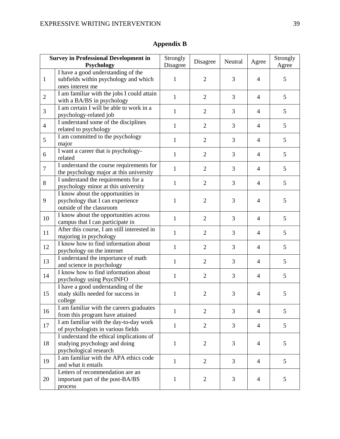|                | <b>Survey in Professional Development in</b><br>Psychology                                          | Strongly<br>Disagree | Disagree       | Neutral        | Agree          | Strongly<br>Agree |
|----------------|-----------------------------------------------------------------------------------------------------|----------------------|----------------|----------------|----------------|-------------------|
| $\mathbf{1}$   | I have a good understanding of the<br>subfields within psychology and which<br>ones interest me     | $\mathbf{1}$         | $\overline{2}$ | 3              | 4              | 5                 |
| $\overline{2}$ | I am familiar with the jobs I could attain<br>with a BA/BS in psychology                            | $\mathbf{1}$         | $\overline{2}$ | 3              | $\overline{4}$ | 5                 |
| 3              | I am certain I will be able to work in a<br>psychology-related job                                  | $\mathbf{1}$         | $\overline{2}$ | 3              | $\overline{4}$ | 5                 |
| $\overline{4}$ | I understand some of the disciplines<br>related to psychology                                       | $\mathbf{1}$         | $\overline{2}$ | $\overline{3}$ | $\overline{4}$ | 5                 |
| 5              | I am committed to the psychology<br>major                                                           | $\mathbf{1}$         | $\overline{2}$ | 3              | $\overline{4}$ | 5                 |
| 6              | I want a career that is psychology-<br>related                                                      | $\mathbf{1}$         | $\overline{2}$ | 3              | $\overline{4}$ | 5                 |
| $\overline{7}$ | I understand the course requirements for<br>the psychology major at this university                 | 1                    | $\overline{2}$ | 3              | $\overline{4}$ | 5                 |
| 8              | I understand the requirements for a<br>psychology minor at this university                          | $\mathbf{1}$         | $\overline{2}$ | 3              | $\overline{4}$ | 5                 |
| 9              | I know about the opportunities in<br>psychology that I can experience<br>outside of the classroom   | 1                    | $\overline{2}$ | 3              | $\overline{4}$ | 5                 |
| 10             | I know about the opportunities across<br>campus that I can participate in                           | $\mathbf{1}$         | $\overline{2}$ | 3              | $\overline{4}$ | 5                 |
| 11             | After this course, I am still interested in<br>majoring in psychology                               | $\mathbf{1}$         | $\overline{2}$ | 3              | $\overline{4}$ | 5                 |
| 12             | I know how to find information about<br>psychology on the internet                                  | $\mathbf{1}$         | $\overline{2}$ | 3              | $\overline{4}$ | 5                 |
| 13             | I understand the importance of math<br>and science in psychology                                    | $\mathbf{1}$         | $\overline{2}$ | 3              | $\overline{4}$ | 5                 |
| 14             | I know how to find information about<br>psychology using PsycINFO                                   | $\mathbf{1}$         | $\overline{2}$ | 3              | $\overline{4}$ | 5                 |
| 15             | I have a good understanding of the<br>study skills needed for success in<br>college                 | 1                    | $\overline{2}$ | 3              | $\overline{4}$ | 5                 |
| 16             | I am familiar with the careers graduates<br>from this program have attained                         | 1                    | $\overline{2}$ | 3              | $\overline{4}$ | 5                 |
| 17             | I am familiar with the day-to-day work<br>of psychologists in various fields                        | $\mathbf{1}$         | $\overline{2}$ | 3              | $\overline{4}$ | 5                 |
| 18             | I understand the ethical implications of<br>studying psychology and doing<br>psychological research | $\mathbf{1}$         | $\overline{2}$ | 3              | 4              | 5                 |
| 19             | I am familiar with the APA ethics code<br>and what it entails                                       | $\mathbf{1}$         | $\overline{2}$ | $\overline{3}$ | $\overline{4}$ | 5                 |
| 20             | Letters of recommendation are an<br>important part of the post-BA/BS<br>process                     | $\mathbf{1}$         | $\overline{2}$ | 3              | 4              | 5                 |

# **Appendix B**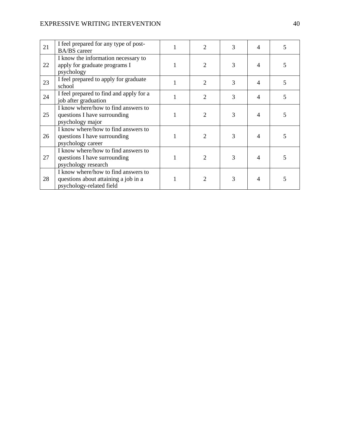# EXPRESSIVE WRITING INTERVENTION 40

| 21 | I feel prepared for any type of post-<br><b>BA/BS</b> career                                            | 2                           | 3 | $\overline{4}$ | 5 |
|----|---------------------------------------------------------------------------------------------------------|-----------------------------|---|----------------|---|
| 22 | I know the information necessary to<br>apply for graduate programs I<br>psychology                      | $\mathcal{D}_{\mathcal{L}}$ | 3 | $\overline{4}$ | 5 |
| 23 | I feel prepared to apply for graduate<br>school                                                         | $\mathfrak{D}$              | 3 | 4              | 5 |
| 24 | I feel prepared to find and apply for a<br>job after graduation                                         | $\overline{c}$              | 3 | 4              | 5 |
| 25 | I know where/how to find answers to<br>questions I have surrounding<br>psychology major                 | 2                           | 3 | 4              | 5 |
| 26 | I know where/how to find answers to<br>questions I have surrounding<br>psychology career                | 2                           | 3 | $\overline{4}$ | 5 |
| 27 | I know where/how to find answers to<br>questions I have surrounding<br>psychology research              | $\mathcal{D}_{\mathcal{L}}$ | 3 | 4              | 5 |
| 28 | I know where/how to find answers to<br>questions about attaining a job in a<br>psychology-related field | $\mathfrak{D}$              | 3 | 4              | 5 |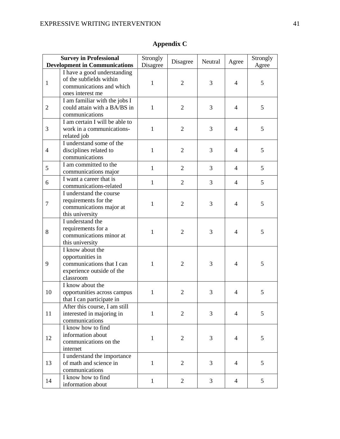|                | <b>Survey in Professional</b><br><b>Development in Communications</b>                                       | Strongly<br>Disagree | Disagree       | Neutral | Agree          | Strongly<br>Agree |
|----------------|-------------------------------------------------------------------------------------------------------------|----------------------|----------------|---------|----------------|-------------------|
| $\mathbf{1}$   | I have a good understanding<br>of the subfields within<br>communications and which<br>ones interest me      | 1                    | $\overline{2}$ | 3       | $\overline{4}$ | 5                 |
| $\overline{2}$ | I am familiar with the jobs I<br>could attain with a BA/BS in<br>communications                             | $\mathbf{1}$         | $\overline{2}$ | 3       | $\overline{4}$ | 5                 |
| 3              | I am certain I will be able to<br>work in a communications-<br>related job                                  | $\mathbf{1}$         | $\overline{2}$ | 3       | $\overline{4}$ | 5                 |
| $\overline{4}$ | I understand some of the<br>disciplines related to<br>communications                                        | $\mathbf{1}$         | $\overline{2}$ | 3       | $\overline{4}$ | 5                 |
| 5              | I am committed to the<br>communications major                                                               | $\mathbf{1}$         | 2              | 3       | $\overline{4}$ | 5                 |
| 6              | I want a career that is<br>communications-related                                                           | $\mathbf{1}$         | $\overline{2}$ | 3       | $\overline{4}$ | 5                 |
| $\tau$         | I understand the course<br>requirements for the<br>communications major at<br>this university               | $\mathbf{1}$         | 2              | 3       | $\overline{4}$ | 5                 |
| 8              | I understand the<br>requirements for a<br>communications minor at<br>this university                        | $\mathbf{1}$         | $\overline{2}$ | 3       | $\overline{4}$ | 5                 |
| 9              | I know about the<br>opportunities in<br>communications that I can<br>experience outside of the<br>classroom | 1                    | $\overline{2}$ | 3       | $\overline{4}$ | 5                 |
| 10             | I know about the<br>opportunities across campus<br>that I can participate in                                | 1                    | $\overline{2}$ | 3       | 4              | 5                 |
| 11             | After this course, I am still<br>interested in majoring in<br>communications                                | $\mathbf{1}$         | $\overline{2}$ | 3       | 4              | 5                 |
| 12             | I know how to find<br>information about<br>communications on the<br>internet                                | $\mathbf{1}$         | $\overline{2}$ | 3       | $\overline{4}$ | 5                 |
| 13             | I understand the importance<br>of math and science in<br>communications                                     | $\mathbf{1}$         | $\overline{2}$ | 3       | 4              | 5                 |
| 14             | I know how to find<br>information about                                                                     | $\mathbf{1}$         | $\overline{2}$ | 3       | 4              | 5                 |

# **Appendix C**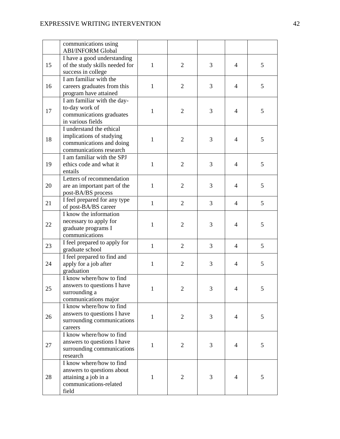|    | communications using<br><b>ABI/INFORM Global</b>                                                                  |              |                |   |                |               |
|----|-------------------------------------------------------------------------------------------------------------------|--------------|----------------|---|----------------|---------------|
| 15 | I have a good understanding<br>of the study skills needed for<br>success in college                               | $\mathbf{1}$ | $\overline{2}$ | 3 | $\overline{4}$ | 5             |
| 16 | I am familiar with the<br>careers graduates from this<br>program have attained                                    | 1            | $\overline{2}$ | 3 | 4              | 5             |
| 17 | I am familiar with the day-<br>to-day work of<br>communications graduates<br>in various fields                    | $\mathbf{1}$ | $\overline{2}$ | 3 | $\overline{4}$ | 5             |
| 18 | I understand the ethical<br>implications of studying<br>communications and doing<br>communications research       | 1            | $\overline{2}$ | 3 | $\overline{4}$ | 5             |
| 19 | I am familiar with the SPJ<br>ethics code and what it<br>entails                                                  | $\mathbf{1}$ | $\overline{2}$ | 3 | $\overline{4}$ | 5             |
| 20 | Letters of recommendation<br>are an important part of the<br>post-BA/BS process                                   | 1            | $\overline{2}$ | 3 | $\overline{4}$ | 5             |
| 21 | I feel prepared for any type<br>of post-BA/BS career                                                              | $\mathbf{1}$ | $\overline{2}$ | 3 | $\overline{4}$ | 5             |
| 22 | I know the information<br>necessary to apply for<br>graduate programs I<br>communications                         | $\mathbf{1}$ | $\overline{2}$ | 3 | $\overline{4}$ | 5             |
| 23 | I feel prepared to apply for<br>graduate school                                                                   | $\mathbf{1}$ | $\overline{2}$ | 3 | $\overline{4}$ | 5             |
| 24 | I feel prepared to find and<br>apply for a job after<br>graduation                                                | $\mathbf{1}$ | $\overline{2}$ | 3 | 4              | 5             |
| 25 | I know where/how to find<br>answers to questions I have<br>surrounding a<br>communications major                  |              | 2              | 3 | 4              | $\mathcal{L}$ |
| 26 | I know where/how to find<br>answers to questions I have<br>surrounding communications<br>careers                  | $\mathbf{1}$ | $\overline{2}$ | 3 | $\overline{4}$ | 5             |
| 27 | I know where/how to find<br>answers to questions I have<br>surrounding communications<br>research                 | $\mathbf{1}$ | $\overline{2}$ | 3 | $\overline{4}$ | 5             |
| 28 | I know where/how to find<br>answers to questions about<br>attaining a job in a<br>communications-related<br>field | $\mathbf{1}$ | $\overline{2}$ | 3 | $\overline{4}$ | 5             |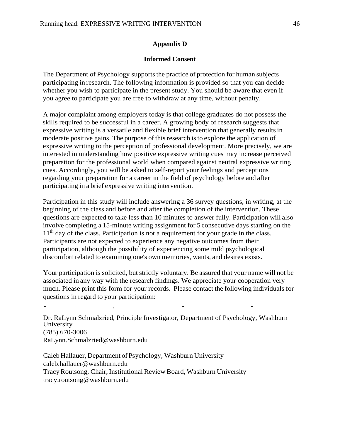# **Appendix D**

### **Informed Consent**

The Department of Psychology supports the practice of protection for human subjects participating in research. The following information is provided so that you can decide whether you wish to participate in the present study. You should be aware that even if you agree to participate you are free to withdraw at any time, without penalty.

A major complaint among employers today is that college graduates do not possess the skills required to be successful in a career. A growing body of research suggests that expressive writing is a versatile and flexible brief intervention that generally results in moderate positive gains. The purpose of this research isto explore the application of expressive writing to the perception of professional development. More precisely, we are interested in understanding how positive expressive writing cues may increase perceived preparation for the professional world when compared against neutral expressive writing cues. Accordingly, you will be asked to self-report your feelings and perceptions regarding your preparation for a career in the field of psychology before and after participating in a brief expressive writing intervention.

Participation in this study will include answering a 36 survey questions, in writing, at the beginning of the class and before and after the completion of the intervention. These questions are expected to take less than 10 minutes to answer fully. Participation will also involve completing a 15-minute writing assignment for 5 consecutive days starting on the  $11<sup>th</sup>$  day of the class. Participation is not a requirement for your grade in the class. Participants are not expected to experience any negative outcomes from their participation, although the possibility of experiencing some mild psychological discomfort related to examining one's own memories, wants, and desires exists.

Your participation is solicited, but strictly voluntary. Be assured that your name will not be associated in any way with the research findings. We appreciate your cooperation very much. Please print this form for your records. Please contact the following individuals for questions in regard to your participation:

Dr. RaLynn Schmalzried, Principle Investigator, Department of Psychology, Washburn University (785) 670-3006 [RaLynn.Schmalzried@washburn.edu](mailto:RaLynn.Schmalzried@washburn.edu)

Caleb Hallauer, Department of Psychology, Washburn University [caleb.hallauer@washburn.edu](mailto:caleb.hallauer@washburn.edu) TracyRoutsong, Chair, Institutional Review Board, Washburn University [tracy.routsong@washburn.edu](mailto:tracy.routsong@washburn.edu)

- . - -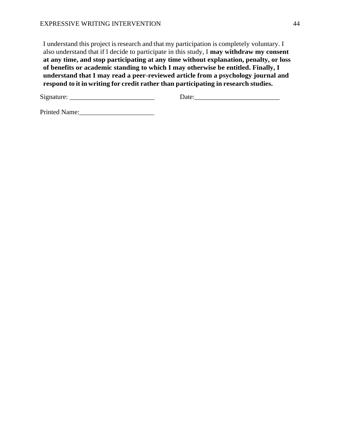I understand this project is research and that my participation is completely voluntary. I also understand that if l decide to participate in this study, I **may withdraw my consent at any time, and stop participating at any time without explanation, penalty, or loss of benefits or academic standing to which I may otherwise be entitled. Finally, I understand that I may read a peer-reviewed article from a psychology journal and respond to it in writing for credit rather than participating in research studies.**

Signature: \_\_\_\_\_\_\_\_\_\_\_\_\_\_\_\_\_\_\_\_\_\_\_\_\_ Date:\_\_\_\_\_\_\_\_\_\_\_\_\_\_\_\_\_\_\_\_\_\_\_\_\_

Printed Name:\_\_\_\_\_\_\_\_\_\_\_\_\_\_\_\_\_\_\_\_\_\_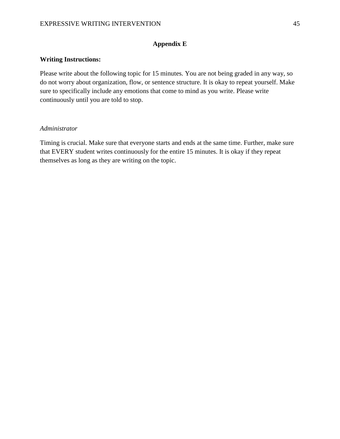# **Appendix E**

# **Writing Instructions:**

Please write about the following topic for 15 minutes. You are not being graded in any way, so do not worry about organization, flow, or sentence structure. It is okay to repeat yourself. Make sure to specifically include any emotions that come to mind as you write. Please write continuously until you are told to stop.

# *Administrator*

Timing is crucial. Make sure that everyone starts and ends at the same time. Further, make sure that EVERY student writes continuously for the entire 15 minutes. It is okay if they repeat themselves as long as they are writing on the topic.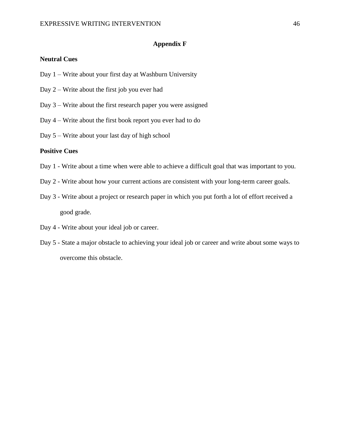## **Appendix F**

# **Neutral Cues**

- Day 1 Write about your first day at Washburn University
- Day 2 Write about the first job you ever had
- Day 3 Write about the first research paper you were assigned
- Day 4 Write about the first book report you ever had to do
- Day 5 Write about your last day of high school

#### **Positive Cues**

- Day 1 Write about a time when were able to achieve a difficult goal that was important to you.
- Day 2 Write about how your current actions are consistent with your long-term career goals.
- Day 3 Write about a project or research paper in which you put forth a lot of effort received a good grade.
- Day 4 Write about your ideal job or career.
- Day 5 State a major obstacle to achieving your ideal job or career and write about some ways to overcome this obstacle.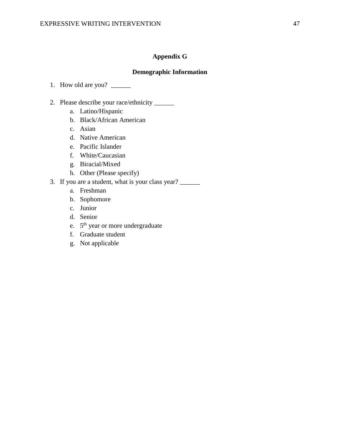# **Appendix G**

# **Demographic Information**

- 1. How old are you? \_\_\_\_\_\_
- 2. Please describe your race/ethnicity \_\_\_\_\_\_
	- a. Latino/Hispanic
	- b. Black/African American
	- c. Asian
	- d. Native American
	- e. Pacific Islander
	- f. White/Caucasian
	- g. Biracial/Mixed
	- h. Other (Please specify)
- 3. If you are a student, what is your class year? \_\_\_\_\_\_
	- a. Freshman
	- b. Sophomore
	- c. Junior
	- d. Senior
	- e. 5<sup>th</sup> year or more undergraduate
	- f. Graduate student
	- g. Not applicable